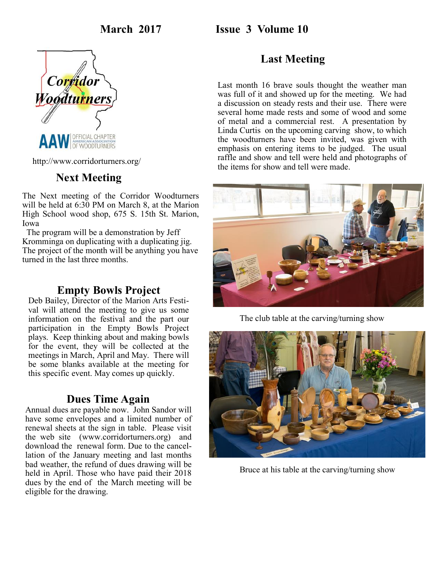### **March 2017 Issue 3 Volume 10**



http://www.corridorturners.org/

### **Next Meeting**

The Next meeting of the Corridor Woodturners will be held at 6:30 PM on March 8, at the Marion High School wood shop, 675 S. 15th St. Marion, Iowa

 The program will be a demonstration by Jeff Kromminga on duplicating with a duplicating jig. The project of the month will be anything you have turned in the last three months.

### **Empty Bowls Project**

Deb Bailey, Director of the Marion Arts Festival will attend the meeting to give us some information on the festival and the part our participation in the Empty Bowls Project plays. Keep thinking about and making bowls for the event, they will be collected at the meetings in March, April and May. There will be some blanks available at the meeting for this specific event. May comes up quickly.

### **Dues Time Again**

Annual dues are payable now. John Sandor will have some envelopes and a limited number of renewal sheets at the sign in table. Please visit the web site (www.corridorturners.org) and download the renewal form. Due to the cancellation of the January meeting and last months bad weather, the refund of dues drawing will be held in April. Those who have paid their 2018 dues by the end of the March meeting will be eligible for the drawing.

## **Last Meeting**

Last month 16 brave souls thought the weather man was full of it and showed up for the meeting. We had a discussion on steady rests and their use. There were several home made rests and some of wood and some of metal and a commercial rest. A presentation by Linda Curtis on the upcoming carving show, to which the woodturners have been invited, was given with emphasis on entering items to be judged. The usual raffle and show and tell were held and photographs of the items for show and tell were made.



The club table at the carving/turning show



Bruce at his table at the carving/turning show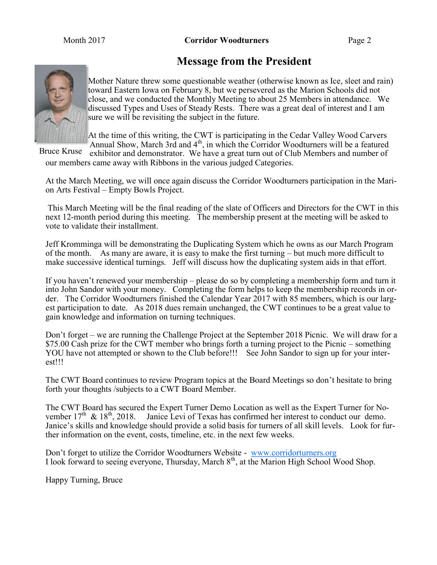# **Message from the President**



Mother Nature threw some questionable weather (otherwise known as Ice, sleet and rain) toward Eastern Iowa on February 8, but we persevered as the Marion Schools did not close, and we conducted the Monthly Meeting to about 25 Members in attendance. We discussed Types and Uses of Steady Rests. There was a great deal of interest and I am sure we will be revisiting the subject in the future.

At the time of this writing, the CWT is participating in the Cedar Valley Wood Carvers Annual Show, March 3rd and 4<sup>th</sup>, in which the Corridor Woodturners will be a featured

exhibitor and demonstrator. We have a great turn out of Club Members and number of our members came away with Ribbons in the various judged Categories. Bruce Kruse

At the March Meeting, we will once again discuss the Corridor Woodturners participation in the Marion Arts Festival – Empty Bowls Project.

This March Meeting will be the final reading of the slate of Officers and Directors for the CWT in this next 12-month period during this meeting. The membership present at the meeting will be asked to vote to validate their installment.

Jeff Kromminga will be demonstrating the Duplicating System which he owns as our March Program of the month. As many are aware, it is easy to make the first turning – but much more difficult to make successive identical turnings. Jeff will discuss how the duplicating system aids in that effort.

If you haven't renewed your membership – please do so by completing a membership form and turn it into John Sandor with your money. Completing the form helps to keep the membership records in order. The Corridor Woodturners finished the Calendar Year 2017 with 85 members, which is our largest participation to date. As 2018 dues remain unchanged, the CWT continues to be a great value to gain knowledge and information on turning techniques.

Don't forget – we are running the Challenge Project at the September 2018 Picnic. We will draw for a \$75.00 Cash prize for the CWT member who brings forth a turning project to the Picnic – something YOU have not attempted or shown to the Club before!!! See John Sandor to sign up for your interest!!!

The CWT Board continues to review Program topics at the Board Meetings so don't hesitate to bring forth your thoughts /subjects to a CWT Board Member.

The CWT Board has secured the Expert Turner Demo Location as well as the Expert Turner for November  $17^{th}$  &  $18^{th}$ , 2018. Janice Levi of Texas has confirmed her interest to conduct our demo. Janice's skills and knowledge should provide a solid basis for turners of all skill levels. Look for further information on the event, costs, timeline, etc. in the next few weeks.

Don't forget to utilize the Corridor Woodturners Website - [www.corridorturners.org](http://www.corridorturners.org) I look forward to seeing everyone, Thursday, March 8<sup>th</sup>, at the Marion High School Wood Shop.

Happy Turning, Bruce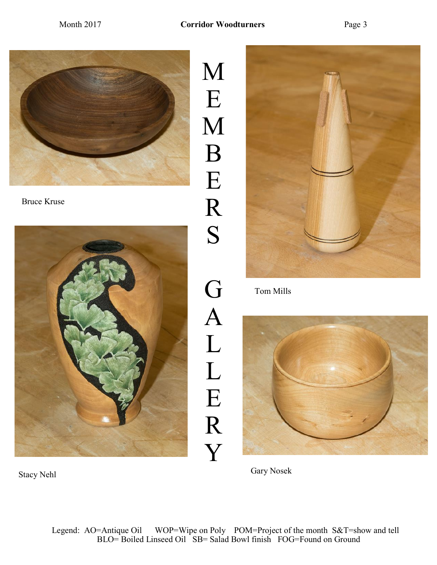

Bruce Kruse



M E M B E R S G A L L E R Y



Tom Mills

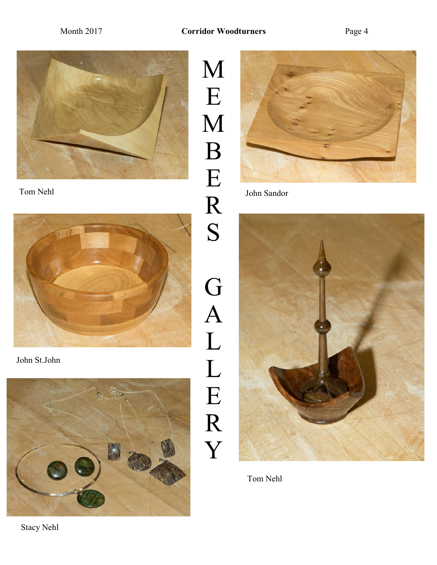

Tom Nehl John Sandor



John St.John



M E M B E R S G A L L E R Y





Tom Nehl

Stacy Nehl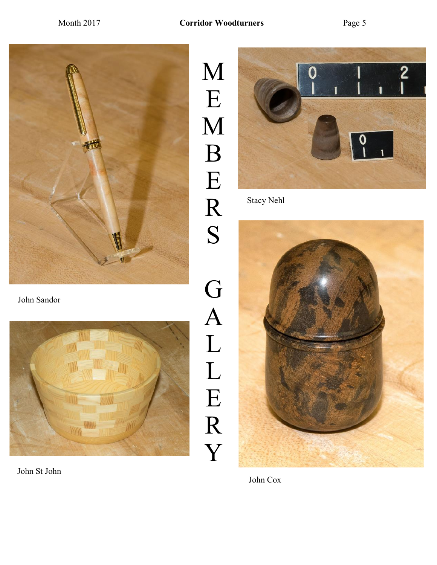E

B

E

R

S

G

A

L

L

E

R

Y



John Sandor



John St John

 $\frac{2}{1}$  $\boldsymbol{0}$  $\boldsymbol{0}$ 

Stacy Nehl



John Cox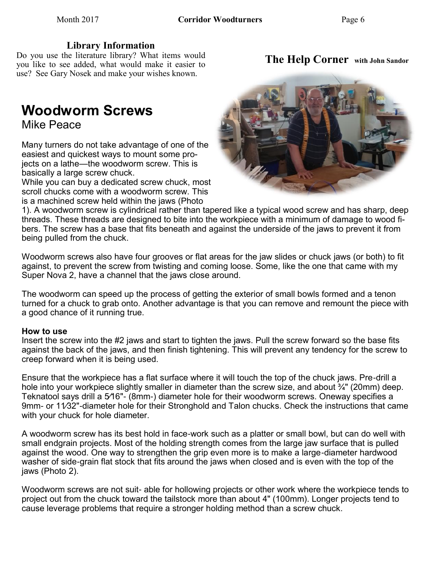Do you use the literature library? What items would you like to see added, what would make it easier to use? See Gary Nosek and make your wishes known.

# **Woodworm Screws**

Mike Peace

Many turners do not take advantage of one of the easiest and quickest ways to mount some projects on a lathe—the woodworm screw. This is basically a large screw chuck.

While you can buy a dedicated screw chuck, most scroll chucks come with a woodworm screw. This is a machined screw held within the jaws (Photo

1). A woodworm screw is cylindrical rather than tapered like a typical wood screw and has sharp, deep threads. These threads are designed to bite into the workpiece with a minimum of damage to wood fibers. The screw has a base that fits beneath and against the underside of the jaws to prevent it from being pulled from the chuck.

Woodworm screws also have four grooves or flat areas for the jaw slides or chuck jaws (or both) to fit against, to prevent the screw from twisting and coming loose. Some, like the one that came with my Super Nova 2, have a channel that the jaws close around.

The woodworm can speed up the process of getting the exterior of small bowls formed and a tenon turned for a chuck to grab onto. Another advantage is that you can remove and remount the piece with a good chance of it running true.

### **How to use**

Insert the screw into the #2 jaws and start to tighten the jaws. Pull the screw forward so the base fits against the back of the jaws, and then finish tightening. This will prevent any tendency for the screw to creep forward when it is being used.

Ensure that the workpiece has a flat surface where it will touch the top of the chuck jaws. Pre-drill a hole into your workpiece slightly smaller in diameter than the screw size, and about <sup>3</sup>/4" (20mm) deep. Teknatool says drill a 5⁄16"- (8mm-) diameter hole for their woodworm screws. Oneway specifies a 9mm- or 11/32"-diameter hole for their Stronghold and Talon chucks. Check the instructions that came with your chuck for hole diameter.

A woodworm screw has its best hold in face-work such as a platter or small bowl, but can do well with small endgrain projects. Most of the holding strength comes from the large jaw surface that is pulled against the wood. One way to strengthen the grip even more is to make a large-diameter hardwood washer of side-grain flat stock that fits around the jaws when closed and is even with the top of the jaws (Photo 2).

Woodworm screws are not suit- able for hollowing projects or other work where the workpiece tends to project out from the chuck toward the tailstock more than about 4" (100mm). Longer projects tend to cause leverage problems that require a stronger holding method than a screw chuck.



# **The Help Corner with John Sandor**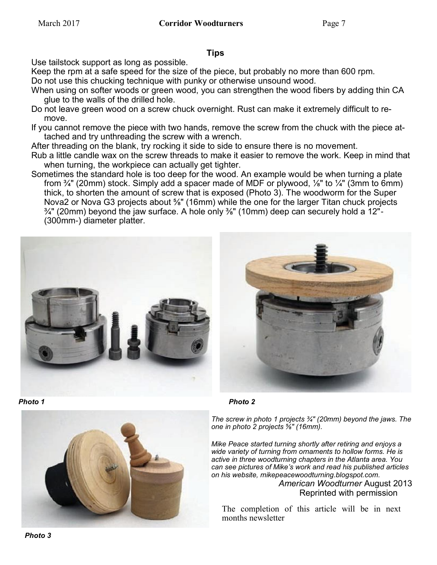### **Tips**

Use tailstock support as long as possible.

Keep the rpm at a safe speed for the size of the piece, but probably no more than 600 rpm. Do not use this chucking technique with punky or otherwise unsound wood.

- When using on softer woods or green wood, you can strengthen the wood fibers by adding thin CA glue to the walls of the drilled hole.
- Do not leave green wood on a screw chuck overnight. Rust can make it extremely difficult to remove.

If you cannot remove the piece with two hands, remove the screw from the chuck with the piece attached and try unthreading the screw with a wrench.

After threading on the blank, try rocking it side to side to ensure there is no movement.

- Rub a little candle wax on the screw threads to make it easier to remove the work. Keep in mind that when turning, the workpiece can actually get tighter.
- Sometimes the standard hole is too deep for the wood. An example would be when turning a plate from  $\frac{3}{4}$ " (20mm) stock. Simply add a spacer made of MDF or plywood,  $\frac{1}{8}$ " to  $\frac{1}{4}$ " (3mm to 6mm) thick, to shorten the amount of screw that is exposed (Photo 3). The woodworm for the Super Nova2 or Nova G3 projects about <sup>5</sup>%" (16mm) while the one for the larger Titan chuck projects ¾" (20mm) beyond the jaw surface. A hole only ⅜" (10mm) deep can securely hold a 12"- (300mm-) diameter platter.







*Photo 1 Photo 2*

*The screw in photo 1 projects ¾" (20mm) beyond the jaws. The one in photo 2 projects ⅝" (16mm).*

*Mike Peace started turning shortly after retiring and enjoys a wide variety of turning from ornaments to hollow forms. He is active in three woodturning chapters in the Atlanta area. You can see pictures of Mike's work and read his published articles on his website, mikepeacewoodturning.blogspot.com.*

*American Woodturner* August 2013 Reprinted with permission

The completion of this article will be in next months newsletter